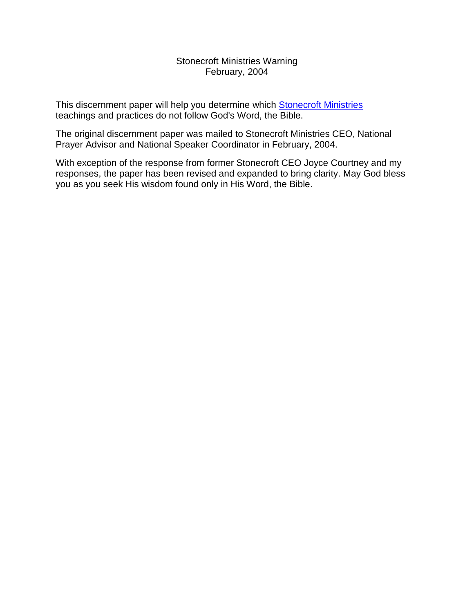#### Stonecroft Ministries Warning February, 2004

This discernment paper will help you determine which [Stonecroft Ministries](http://www.stonecroft.org/) teachings and practices do not follow God's Word, the Bible.

The original discernment paper was mailed to Stonecroft Ministries CEO, National Prayer Advisor and National Speaker Coordinator in February, 2004.

With exception of the response from former Stonecroft CEO Joyce Courtney and my responses, the paper has been revised and expanded to bring clarity. May God bless you as you seek His wisdom found only in His Word, the Bible.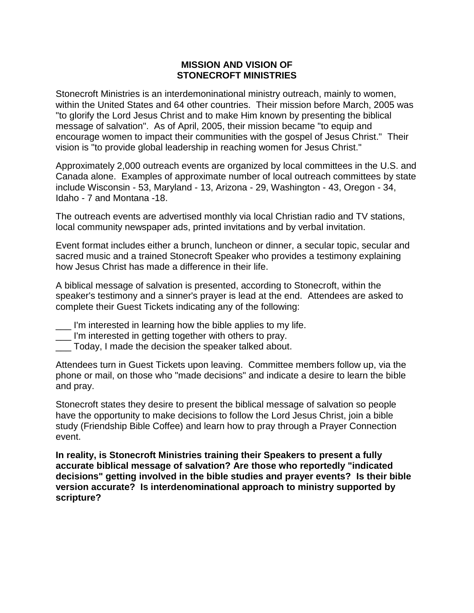# **MISSION AND VISION OF STONECROFT MINISTRIES**

Stonecroft Ministries is an interdemoninational ministry outreach, mainly to women, within the United States and 64 other countries. Their mission before March, 2005 was "to glorify the Lord Jesus Christ and to make Him known by presenting the biblical message of salvation". As of April, 2005, their mission became "to equip and encourage women to impact their communities with the gospel of Jesus Christ." Their vision is "to provide global leadership in reaching women for Jesus Christ."

Approximately 2,000 outreach events are organized by local committees in the U.S. and Canada alone. Examples of approximate number of local outreach committees by state include Wisconsin - 53, Maryland - 13, Arizona - 29, Washington - 43, Oregon - 34, Idaho - 7 and Montana -18.

The outreach events are advertised monthly via local Christian radio and TV stations, local community newspaper ads, printed invitations and by verbal invitation.

Event format includes either a brunch, luncheon or dinner, a secular topic, secular and sacred music and a trained Stonecroft Speaker who provides a testimony explaining how Jesus Christ has made a difference in their life.

A biblical message of salvation is presented, according to Stonecroft, within the speaker's testimony and a sinner's prayer is lead at the end. Attendees are asked to complete their Guest Tickets indicating any of the following:

- \_\_\_ I'm interested in learning how the bible applies to my life.
- \_\_\_ I'm interested in getting together with others to pray.
- \_\_\_ Today, I made the decision the speaker talked about.

Attendees turn in Guest Tickets upon leaving. Committee members follow up, via the phone or mail, on those who "made decisions" and indicate a desire to learn the bible and pray.

Stonecroft states they desire to present the biblical message of salvation so people have the opportunity to make decisions to follow the Lord Jesus Christ, join a bible study (Friendship Bible Coffee) and learn how to pray through a Prayer Connection event.

**In reality, is Stonecroft Ministries training their Speakers to present a fully accurate biblical message of salvation? Are those who reportedly "indicated decisions" getting involved in the bible studies and prayer events? Is their bible version accurate? Is interdenominational approach to ministry supported by scripture?**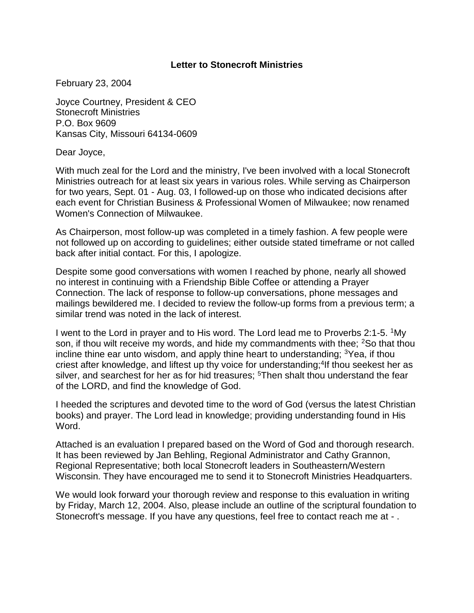#### **Letter to Stonecroft Ministries**

February 23, 2004

Joyce Courtney, President & CEO Stonecroft Ministries P.O. Box 9609 Kansas City, Missouri 64134-0609

Dear Joyce,

With much zeal for the Lord and the ministry, I've been involved with a local Stonecroft Ministries outreach for at least six years in various roles. While serving as Chairperson for two years, Sept. 01 - Aug. 03, I followed-up on those who indicated decisions after each event for Christian Business & Professional Women of Milwaukee; now renamed Women's Connection of Milwaukee.

As Chairperson, most follow-up was completed in a timely fashion. A few people were not followed up on according to guidelines; either outside stated timeframe or not called back after initial contact. For this, I apologize.

Despite some good conversations with women I reached by phone, nearly all showed no interest in continuing with a Friendship Bible Coffee or attending a Prayer Connection. The lack of response to follow-up conversations, phone messages and mailings bewildered me. I decided to review the follow-up forms from a previous term; a similar trend was noted in the lack of interest.

I went to the Lord in prayer and to His word. The Lord lead me to Proverbs 2:1-5. <sup>1</sup>My son, if thou wilt receive my words, and hide my commandments with thee; <sup>2</sup>So that thou incline thine ear unto wisdom, and apply thine heart to understanding; <sup>3</sup>Yea, if thou criest after knowledge, and liftest up thy voice for understanding;<sup>4</sup>If thou seekest her as silver, and searchest for her as for hid treasures; <sup>5</sup>Then shalt thou understand the fear of the LORD, and find the knowledge of God.

I heeded the scriptures and devoted time to the word of God (versus the latest Christian books) and prayer. The Lord lead in knowledge; providing understanding found in His Word.

Attached is an evaluation I prepared based on the Word of God and thorough research. It has been reviewed by Jan Behling, Regional Administrator and Cathy Grannon, Regional Representative; both local Stonecroft leaders in Southeastern/Western Wisconsin. They have encouraged me to send it to Stonecroft Ministries Headquarters.

We would look forward your thorough review and response to this evaluation in writing by Friday, March 12, 2004. Also, please include an outline of the scriptural foundation to Stonecroft's message. If you have any questions, feel free to contact reach me at - .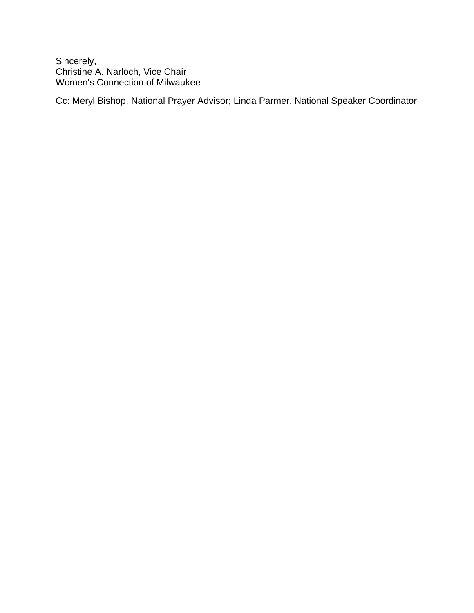Sincerely, Christine A. Narloch, Vice Chair Women's Connection of Milwaukee

Cc: Meryl Bishop, National Prayer Advisor; Linda Parmer, National Speaker Coordinator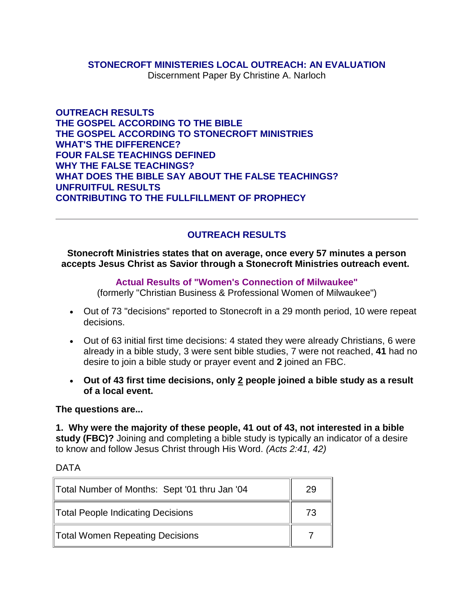#### **STONECROFT MINISTERIES LOCAL OUTREACH: AN EVALUATION**

Discernment Paper By Christine A. Narloch

**OUTREACH RESULTS THE GOSPEL ACCORDING TO THE BIBLE THE GOSPEL ACCORDING TO STONECROFT MINISTRIES WHAT'S THE DIFFERENCE? FOUR FALSE TEACHINGS DEFINED WHY THE FALSE TEACHINGS? WHAT DOES THE BIBLE SAY ABOUT THE FALSE TEACHINGS? UNFRUITFUL RESULTS CONTRIBUTING TO THE FULLFILLMENT OF PROPHECY**

# **OUTREACH RESULTS**

**Stonecroft Ministries states that on average, once every 57 minutes a person accepts Jesus Christ as Savior through a Stonecroft Ministries outreach event.**

#### **Actual Results of "Women's Connection of Milwaukee"**

(formerly "Christian Business & Professional Women of Milwaukee")

- Out of 73 "decisions" reported to Stonecroft in a 29 month period, 10 were repeat decisions.
- Out of 63 initial first time decisions: 4 stated they were already Christians, 6 were already in a bible study, 3 were sent bible studies, 7 were not reached, **41** had no desire to join a bible study or prayer event and **2** joined an FBC.
- **Out of 43 first time decisions, only 2 people joined a bible study as a result of a local event.**

**The questions are...** 

**1. Why were the majority of these people, 41 out of 43, not interested in a bible study (FBC)?** Joining and completing a bible study is typically an indicator of a desire to know and follow Jesus Christ through His Word. *(Acts 2:41, 42)*

DATA

| Total Number of Months: Sept '01 thru Jan '04 | 29 |
|-----------------------------------------------|----|
| <b>Total People Indicating Decisions</b>      | 73 |
| <b>Total Women Repeating Decisions</b>        |    |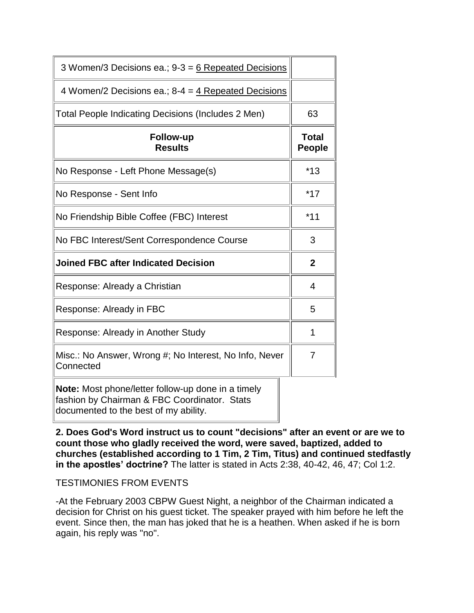| 3 Women/3 Decisions ea.; $9-3 = 6$ Repeated Decisions               |                        |
|---------------------------------------------------------------------|------------------------|
| 4 Women/2 Decisions ea.; $8-4 = 4$ Repeated Decisions               |                        |
| Total People Indicating Decisions (Includes 2 Men)                  | 63                     |
| <b>Follow-up</b><br><b>Results</b>                                  | Total<br><b>People</b> |
| No Response - Left Phone Message(s)                                 | $*13$                  |
| No Response - Sent Info                                             | $*17$                  |
| No Friendship Bible Coffee (FBC) Interest                           | $*11$                  |
| No FBC Interest/Sent Correspondence Course                          | 3                      |
| <b>Joined FBC after Indicated Decision</b>                          | $\mathbf{2}$           |
| Response: Already a Christian                                       | 4                      |
| Response: Already in FBC                                            | 5                      |
| Response: Already in Another Study                                  | 1                      |
| Misc.: No Answer, Wrong #; No Interest, No Info, Never<br>Connected | 7                      |
| Note: Most phone/letter follow-up done in a timely                  |                        |

fashion by Chairman & FBC Coordinator. Stats documented to the best of my ability.

**2. Does God's Word instruct us to count "decisions" after an event or are we to count those who gladly received the word, were saved, baptized, added to churches (established according to 1 Tim, 2 Tim, Titus) and continued stedfastly in the apostles' doctrine?** The latter is stated in Acts 2:38, 40-42, 46, 47; Col 1:2.

# TESTIMONIES FROM EVENTS

-At the February 2003 CBPW Guest Night, a neighbor of the Chairman indicated a decision for Christ on his guest ticket. The speaker prayed with him before he left the event. Since then, the man has joked that he is a heathen. When asked if he is born again, his reply was "no".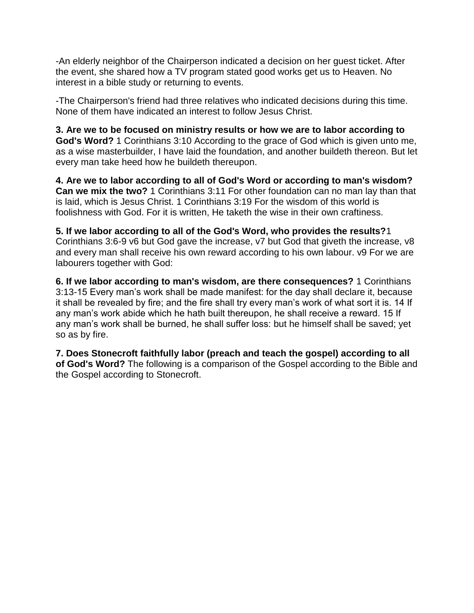-An elderly neighbor of the Chairperson indicated a decision on her guest ticket. After the event, she shared how a TV program stated good works get us to Heaven. No interest in a bible study or returning to events.

-The Chairperson's friend had three relatives who indicated decisions during this time. None of them have indicated an interest to follow Jesus Christ.

**3. Are we to be focused on ministry results or how we are to labor according to God's Word?** 1 Corinthians 3:10 According to the grace of God which is given unto me, as a wise masterbuilder, I have laid the foundation, and another buildeth thereon. But let every man take heed how he buildeth thereupon.

**4. Are we to labor according to all of God's Word or according to man's wisdom? Can we mix the two?** 1 Corinthians 3:11 For other foundation can no man lay than that is laid, which is Jesus Christ. 1 Corinthians 3:19 For the wisdom of this world is foolishness with God. For it is written, He taketh the wise in their own craftiness.

**5. If we labor according to all of the God's Word, who provides the results?**1 Corinthians 3:6-9 v6 but God gave the increase, v7 but God that giveth the increase, v8 and every man shall receive his own reward according to his own labour. v9 For we are labourers together with God:

**6. If we labor according to man's wisdom, are there consequences?** 1 Corinthians 3:13-15 Every man's work shall be made manifest: for the day shall declare it, because it shall be revealed by fire; and the fire shall try every man's work of what sort it is. 14 If any man's work abide which he hath built thereupon, he shall receive a reward. 15 If any man's work shall be burned, he shall suffer loss: but he himself shall be saved; yet so as by fire.

**7. Does Stonecroft faithfully labor (preach and teach the gospel) according to all of God's Word?** The following is a comparison of the Gospel according to the Bible and the Gospel according to Stonecroft.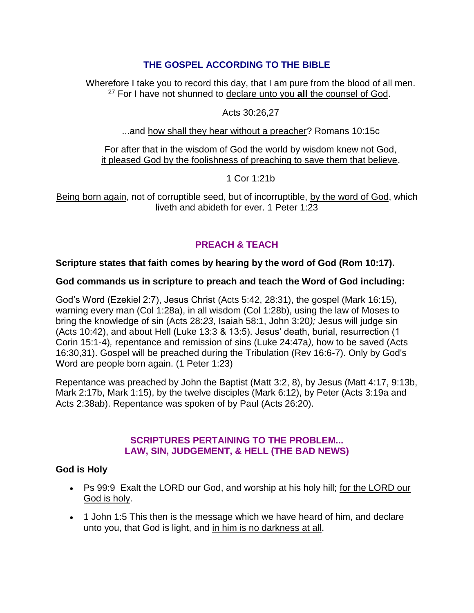# **THE GOSPEL ACCORDING TO THE BIBLE**

Wherefore I take you to record this day, that I am pure from the blood of all men. <sup>27</sup> For I have not shunned to declare unto you **all** the counsel of God.

# Acts 30:26,27

...and how shall they hear without a preacher? Romans 10:15c

For after that in the wisdom of God the world by wisdom knew not God, it pleased God by the foolishness of preaching to save them that believe.

1 Cor 1:21b

Being born again, not of corruptible seed, but of incorruptible, by the word of God, which liveth and abideth for ever. 1 Peter 1:23

# **PREACH & TEACH**

# **Scripture states that faith comes by hearing by the word of God (Rom 10:17).**

# **God commands us in scripture to preach and teach the Word of God including:**

God's Word (Ezekiel 2:7), Jesus Christ (Acts 5:42, 28:31), the gospel (Mark 16:15), warning every man (Col 1:28a), in all wisdom (Col 1:28b), using the law of Moses to bring the knowledge of sin (Acts 28:*23*, Isaiah 58:1, John 3:20*);* Jesus will judge sin (Acts 10:42), and about Hell (Luke 13:3 & 13:5). Jesus' death, burial, resurrection (1 Corin 15:1-4)*,* repentance and remission of sins (Luke 24:47a*),* how to be saved (Acts 16:30,31). Gospel will be preached during the Tribulation (Rev 16:6-7). Only by God's Word are people born again. (1 Peter 1:23)

Repentance was preached by John the Baptist (Matt 3:2, 8), by Jesus (Matt 4:17, 9:13b, Mark 2:17b, Mark 1:15), by the twelve disciples (Mark 6:12), by Peter (Acts 3:19a and Acts 2:38ab). Repentance was spoken of by Paul (Acts 26:20).

# **SCRIPTURES PERTAINING TO THE PROBLEM... LAW, SIN, JUDGEMENT, & HELL (THE BAD NEWS)**

# **God is Holy**

- Ps 99:9 Exalt the LORD our God, and worship at his holy hill; for the LORD our God is holy.
- 1 John 1:5 This then is the message which we have heard of him, and declare unto you, that God is light, and in him is no darkness at all.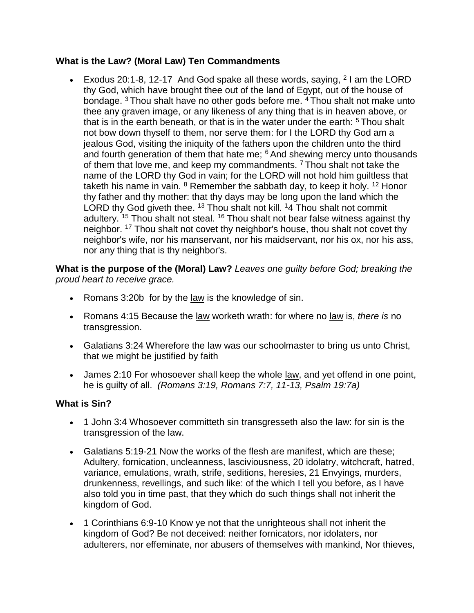# **What is the Law? (Moral Law) Ten Commandments**

Exodus 20:1-8, 12-17 And God spake all these words, saying,  $21$  am the LORD thy God, which have brought thee out of the land of Egypt, out of the house of bondage. <sup>3</sup> Thou shalt have no other gods before me. <sup>4</sup> Thou shalt not make unto thee any graven image, or any likeness of any thing that is in heaven above, or that is in the earth beneath, or that is in the water under the earth:  $5$  Thou shalt not bow down thyself to them, nor serve them: for I the LORD thy God am a jealous God, visiting the iniquity of the fathers upon the children unto the third and fourth generation of them that hate me;  $6$  And shewing mercy unto thousands of them that love me, and keep my commandments.  $7$  Thou shalt not take the name of the LORD thy God in vain; for the LORD will not hold him guiltless that taketh his name in vain.  $8$  Remember the sabbath day, to keep it holy.  $12$  Honor thy father and thy mother: that thy days may be long upon the land which the LORD thy God giveth thee.  $13$  Thou shalt not kill.  $14$  Thou shalt not commit adultery. <sup>15</sup> Thou shalt not steal. <sup>16</sup> Thou shalt not bear false witness against thy neighbor. <sup>17</sup> Thou shalt not covet thy neighbor's house, thou shalt not covet thy neighbor's wife, nor his manservant, nor his maidservant, nor his ox, nor his ass, nor any thing that is thy neighbor's.

**What is the purpose of the (Moral) Law?** *Leaves one guilty before God; breaking the proud heart to receive grace.*

- Romans 3:20b for by the law is the knowledge of sin.
- Romans 4:15 Because the law worketh wrath: for where no law is, *there is* no transgression.
- Galatians 3:24 Wherefore the law was our schoolmaster to bring us unto Christ, that we might be justified by faith
- James 2:10 For whosoever shall keep the whole law, and yet offend in one point, he is guilty of all. *(Romans 3:19, Romans 7:7, 11-13, Psalm 19:7a)*

# **What is Sin?**

- 1 John 3:4 Whosoever committeth sin transgresseth also the law: for sin is the transgression of the law.
- Galatians 5:19-21 Now the works of the flesh are manifest, which are these; Adultery, fornication, uncleanness, lasciviousness, 20 idolatry, witchcraft, hatred, variance, emulations, wrath, strife, seditions, heresies, 21 Envyings, murders, drunkenness, revellings, and such like: of the which I tell you before, as I have also told you in time past, that they which do such things shall not inherit the kingdom of God.
- 1 Corinthians 6:9-10 Know ye not that the unrighteous shall not inherit the kingdom of God? Be not deceived: neither fornicators, nor idolaters, nor adulterers, nor effeminate, nor abusers of themselves with mankind, Nor thieves,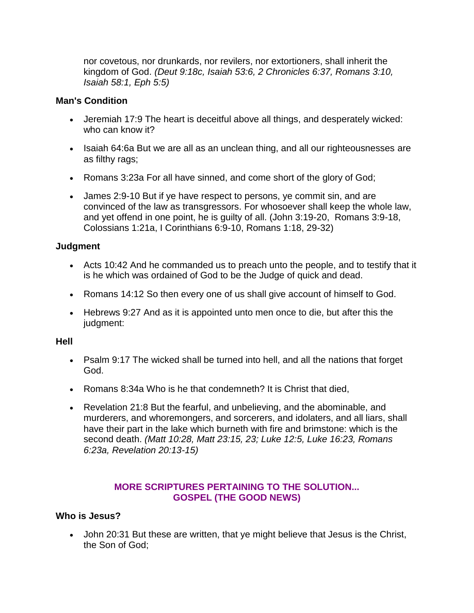nor covetous, nor drunkards, nor revilers, nor extortioners, shall inherit the kingdom of God. *(Deut 9:18c, Isaiah 53:6, 2 Chronicles 6:37, Romans 3:10, Isaiah 58:1, Eph 5:5)*

# **Man's Condition**

- Jeremiah 17:9 The heart is deceitful above all things, and desperately wicked: who can know it?
- Isaiah 64:6a But we are all as an unclean thing, and all our righteousnesses are as filthy rags;
- Romans 3:23a For all have sinned, and come short of the glory of God;
- James 2:9-10 But if ye have respect to persons, ye commit sin, and are convinced of the law as transgressors. For whosoever shall keep the whole law, and yet offend in one point, he is guilty of all. (John 3:19-20, Romans 3:9-18, Colossians 1:21a, I Corinthians 6:9-10, Romans 1:18, 29-32)

# **Judgment**

- Acts 10:42 And he commanded us to preach unto the people, and to testify that it is he which was ordained of God to be the Judge of quick and dead.
- Romans 14:12 So then every one of us shall give account of himself to God.
- Hebrews 9:27 And as it is appointed unto men once to die, but after this the judgment:

# **Hell**

- Psalm 9:17 The wicked shall be turned into hell, and all the nations that forget God.
- Romans 8:34a Who is he that condemneth? It is Christ that died,
- Revelation 21:8 But the fearful, and unbelieving, and the abominable, and murderers, and whoremongers, and sorcerers, and idolaters, and all liars, shall have their part in the lake which burneth with fire and brimstone: which is the second death. *(Matt 10:28, Matt 23:15, 23; Luke 12:5, Luke 16:23, Romans 6:23a, Revelation 20:13-15)*

# **MORE SCRIPTURES PERTAINING TO THE SOLUTION... GOSPEL (THE GOOD NEWS)**

# **Who is Jesus?**

 John 20:31 But these are written, that ye might believe that Jesus is the Christ, the Son of God;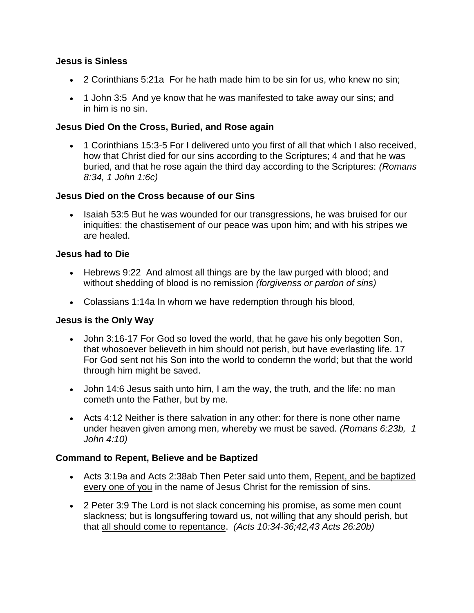# **Jesus is Sinless**

- 2 Corinthians 5:21a For he hath made him to be sin for us, who knew no sin;
- 1 John 3:5 And ye know that he was manifested to take away our sins; and in him is no sin.

# **Jesus Died On the Cross, Buried, and Rose again**

 1 Corinthians 15:3-5 For I delivered unto you first of all that which I also received, how that Christ died for our sins according to the Scriptures; 4 and that he was buried, and that he rose again the third day according to the Scriptures: *(Romans 8:34, 1 John 1:6c)*

# **Jesus Died on the Cross because of our Sins**

• Isaiah 53:5 But he was wounded for our transgressions, he was bruised for our iniquities: the chastisement of our peace was upon him; and with his stripes we are healed.

# **Jesus had to Die**

- Hebrews 9:22 And almost all things are by the law purged with blood; and without shedding of blood is no remission *(forgivenss or pardon of sins)*
- Colassians 1:14a In whom we have redemption through his blood,

# **Jesus is the Only Way**

- John 3:16-17 For God so loved the world, that he gave his only begotten Son, that whosoever believeth in him should not perish, but have everlasting life. 17 For God sent not his Son into the world to condemn the world; but that the world through him might be saved.
- John 14:6 Jesus saith unto him, I am the way, the truth, and the life: no man cometh unto the Father, but by me.
- Acts 4:12 Neither is there salvation in any other: for there is none other name under heaven given among men, whereby we must be saved. *(Romans 6:23b, 1 John 4:10)*

# **Command to Repent, Believe and be Baptized**

- Acts 3:19a and Acts 2:38ab Then Peter said unto them, Repent, and be baptized every one of you in the name of Jesus Christ for the remission of sins.
- 2 Peter 3:9 The Lord is not slack concerning his promise, as some men count slackness; but is longsuffering toward us, not willing that any should perish, but that all should come to repentance. *(Acts 10:34-36;42,43 Acts 26:20b)*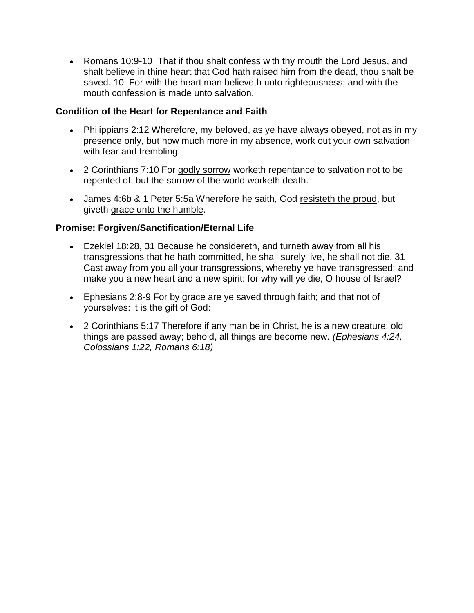• Romans 10:9-10 That if thou shalt confess with thy mouth the Lord Jesus, and shalt believe in thine heart that God hath raised him from the dead, thou shalt be saved. 10 For with the heart man believeth unto righteousness; and with the mouth confession is made unto salvation.

# **Condition of the Heart for Repentance and Faith**

- Philippians 2:12 Wherefore, my beloved, as ye have always obeyed, not as in my presence only, but now much more in my absence, work out your own salvation with fear and trembling.
- 2 Corinthians 7:10 For godly sorrow worketh repentance to salvation not to be repented of: but the sorrow of the world worketh death.
- James 4:6b & 1 Peter 5:5a Wherefore he saith, God resisteth the proud, but giveth grace unto the humble.

# **Promise: Forgiven/Sanctification/Eternal Life**

- Ezekiel 18:28, 31 Because he considereth, and turneth away from all his transgressions that he hath committed, he shall surely live, he shall not die. 31 Cast away from you all your transgressions, whereby ye have transgressed; and make you a new heart and a new spirit: for why will ye die, O house of Israel?
- Ephesians 2:8-9 For by grace are ye saved through faith; and that not of yourselves: it is the gift of God:
- 2 Corinthians 5:17 Therefore if any man be in Christ, he is a new creature: old things are passed away; behold, all things are become new. *(Ephesians 4:24, Colossians 1:22, Romans 6:18)*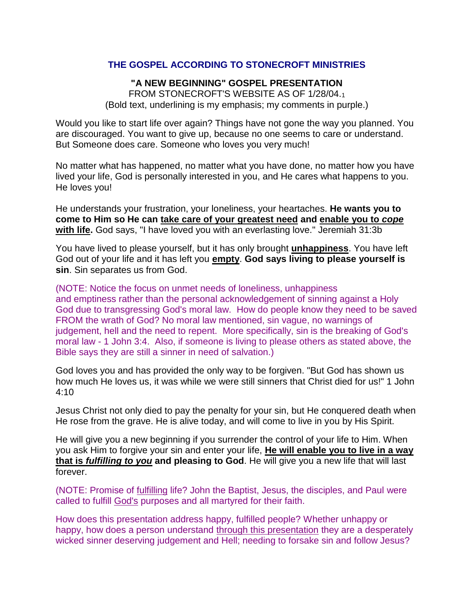# **THE GOSPEL ACCORDING TO STONECROFT MINISTRIES**

# **"A NEW BEGINNING" GOSPEL PRESENTATION**

FROM STONECROFT'S WEBSITE AS OF 1/28/04.<sup>1</sup> (Bold text, underlining is my emphasis; my comments in purple.)

Would you like to start life over again? Things have not gone the way you planned. You are discouraged. You want to give up, because no one seems to care or understand. But Someone does care. Someone who loves you very much!

No matter what has happened, no matter what you have done, no matter how you have lived your life, God is personally interested in you, and He cares what happens to you. He loves you!

He understands your frustration, your loneliness, your heartaches. **He wants you to come to Him so He can take care of your greatest need and enable you to** *cope* **with life.** God says, "I have loved you with an everlasting love." Jeremiah 31:3b

You have lived to please yourself, but it has only brought **unhappiness**. You have left God out of your life and it has left you **empty**. **God says living to please yourself is sin**. Sin separates us from God.

(NOTE: Notice the focus on unmet needs of loneliness, unhappiness and emptiness rather than the personal acknowledgement of sinning against a Holy God due to transgressing God's moral law. How do people know they need to be saved FROM the wrath of God? No moral law mentioned, sin vague, no warnings of judgement, hell and the need to repent. More specifically, sin is the breaking of God's moral law - 1 John 3:4. Also, if someone is living to please others as stated above, the Bible says they are still a sinner in need of salvation.)

God loves you and has provided the only way to be forgiven. "But God has shown us how much He loves us, it was while we were still sinners that Christ died for us!" 1 John 4:10

Jesus Christ not only died to pay the penalty for your sin, but He conquered death when He rose from the grave. He is alive today, and will come to live in you by His Spirit.

He will give you a new beginning if you surrender the control of your life to Him. When you ask Him to forgive your sin and enter your life, **He will enable you to live in a way that is** *fulfilling to you* **and pleasing to God**. He will give you a new life that will last forever.

(NOTE: Promise of fulfilling life? John the Baptist, Jesus, the disciples, and Paul were called to fulfill God's purposes and all martyred for their faith.

How does this presentation address happy, fulfilled people? Whether unhappy or happy, how does a person understand through this presentation they are a desperately wicked sinner deserving judgement and Hell; needing to forsake sin and follow Jesus?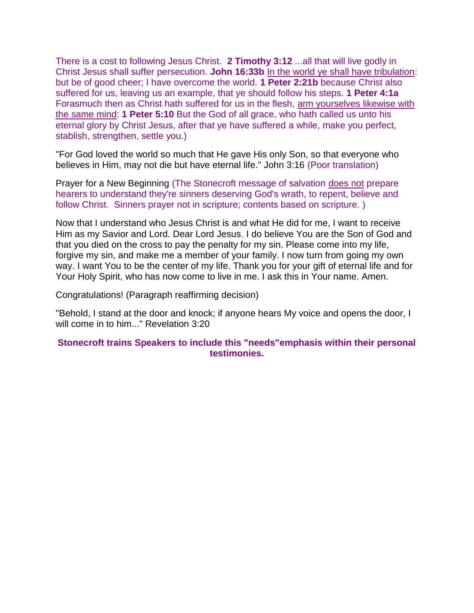There is a cost to following Jesus Christ. **2 Timothy 3:12** ...all that will live godly in Christ Jesus shall suffer persecution. **John 16:33b** In the world ye shall have tribulation: but be of good cheer; I have overcome the world. **1 Peter 2:21b** because Christ also suffered for us, leaving us an example, that ye should follow his steps. **1 Peter 4:1a** Forasmuch then as Christ hath suffered for us in the flesh, arm yourselves likewise with the same mind: **1 Peter 5:10** But the God of all grace, who hath called us unto his eternal glory by Christ Jesus, after that ye have suffered a while, make you perfect, stablish, strengthen, settle you.)

"For God loved the world so much that He gave His only Son, so that everyone who believes in Him, may not die but have eternal life." John 3:16 (Poor translation)

Prayer for a New Beginning (The Stonecroft message of salvation does not prepare hearers to understand they're sinners deserving God's wrath, to repent, believe and follow Christ. Sinners prayer not in scripture; contents based on scripture. )

Now that I understand who Jesus Christ is and what He did for me, I want to receive Him as my Savior and Lord. Dear Lord Jesus, I do believe You are the Son of God and that you died on the cross to pay the penalty for my sin. Please come into my life, forgive my sin, and make me a member of your family. I now turn from going my own way. I want You to be the center of my life. Thank you for your gift of eternal life and for Your Holy Spirit, who has now come to live in me. I ask this in Your name. Amen.

Congratulations! (Paragraph reaffirming decision)

"Behold, I stand at the door and knock; if anyone hears My voice and opens the door, I will come in to him..." Revelation 3:20

#### **Stonecroft trains Speakers to include this "needs"emphasis within their personal testimonies.**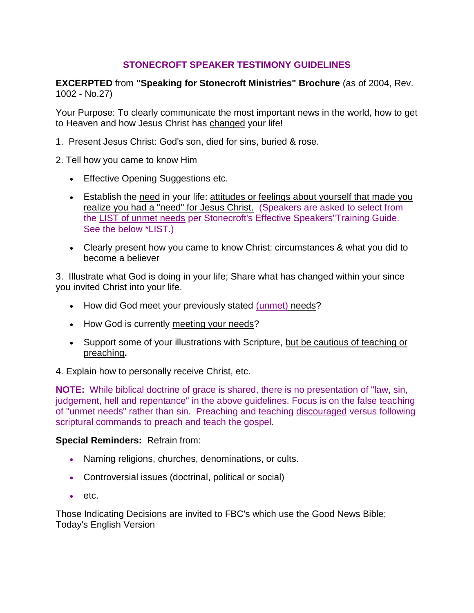# **STONECROFT SPEAKER TESTIMONY GUIDELINES**

**EXCERPTED** from **"Speaking for Stonecroft Ministries" Brochure** (as of 2004, Rev. 1002 - No.27)

Your Purpose: To clearly communicate the most important news in the world, how to get to Heaven and how Jesus Christ has changed your life!

- 1. Present Jesus Christ: God's son, died for sins, buried & rose.
- 2. Tell how you came to know Him
	- **Effective Opening Suggestions etc.**
	- Establish the need in your life: attitudes or feelings about yourself that made you realize you had a "need" for Jesus Christ. (Speakers are asked to select from the LIST of unmet needs per Stonecroft's Effective Speakers"Training Guide. See the below \*LIST.)
	- Clearly present how you came to know Christ: circumstances & what you did to become a believer

3. Illustrate what God is doing in your life; Share what has changed within your since you invited Christ into your life.

- How did God meet your previously stated (unmet) needs?
- How God is currently meeting your needs?
- Support some of your illustrations with Scripture, but be cautious of teaching or preaching**.**

4. Explain how to personally receive Christ, etc.

**NOTE:** While biblical doctrine of grace is shared, there is no presentation of "law, sin, judgement, hell and repentance" in the above guidelines. Focus is on the false teaching of "unmet needs" rather than sin. Preaching and teaching discouraged versus following scriptural commands to preach and teach the gospel.

# **Special Reminders:** Refrain from:

- Naming religions, churches, denominations, or cults.
- Controversial issues (doctrinal, political or social)
- $e$  etc.

Those Indicating Decisions are invited to FBC's which use the Good News Bible; Today's English Version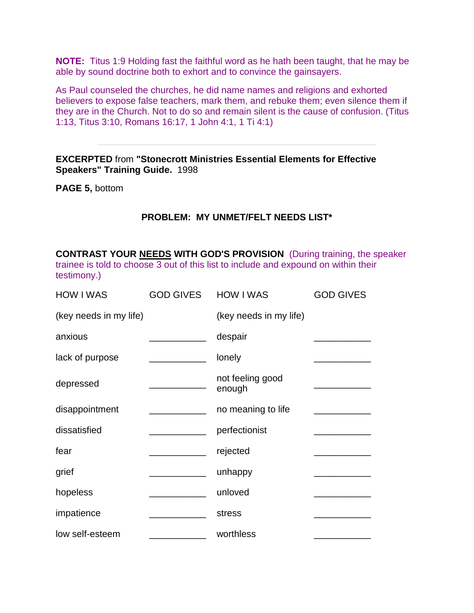**NOTE:** Titus 1:9 Holding fast the faithful word as he hath been taught, that he may be able by sound doctrine both to exhort and to convince the gainsayers.

As Paul counseled the churches, he did name names and religions and exhorted believers to expose false teachers, mark them, and rebuke them; even silence them if they are in the Church. Not to do so and remain silent is the cause of confusion. (Titus 1:13, Titus 3:10, Romans 16:17, 1 John 4:1, 1 Ti 4:1)

**EXCERPTED** from **"Stonecrott Ministries Essential Elements for Effective Speakers" Training Guide.** 1998

**PAGE 5,** bottom

# **PROBLEM: MY UNMET/FELT NEEDS LIST\***

**CONTRAST YOUR NEEDS WITH GOD'S PROVISION** (During training, the speaker trainee is told to choose 3 out of this list to include and expound on within their testimony.)

| <b>HOW I WAS</b>       | <b>GOD GIVES</b>                               | <b>HOW I WAS</b>           | <b>GOD GIVES</b> |
|------------------------|------------------------------------------------|----------------------------|------------------|
| (key needs in my life) |                                                | (key needs in my life)     |                  |
| anxious                | <u> The Communication of the Communication</u> | despair                    |                  |
| lack of purpose        |                                                | lonely                     |                  |
| depressed              |                                                | not feeling good<br>enough |                  |
| disappointment         |                                                | no meaning to life         |                  |
| dissatisfied           |                                                | perfectionist              |                  |
| fear                   |                                                | rejected                   |                  |
| grief                  |                                                | unhappy                    |                  |
| hopeless               |                                                | unloved                    |                  |
| impatience             |                                                | stress                     |                  |
| low self-esteem        |                                                | worthless                  |                  |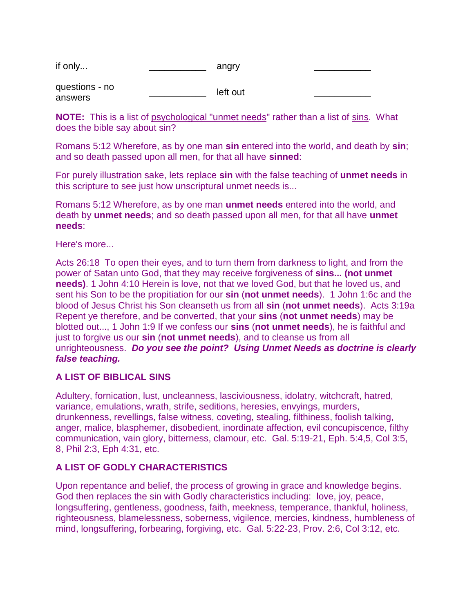| if only | on orv    |  |
|---------|-----------|--|
|         | ۱۱۷۱۰۰ می |  |

questions - no answers  $I$ eft out

**NOTE:** This is a list of psychological "unmet needs" rather than a list of sins. What does the bible say about sin?

Romans 5:12 Wherefore, as by one man **sin** entered into the world, and death by **sin**; and so death passed upon all men, for that all have **sinned**:

For purely illustration sake, lets replace **sin** with the false teaching of **unmet needs** in this scripture to see just how unscriptural unmet needs is...

Romans 5:12 Wherefore, as by one man **unmet needs** entered into the world, and death by **unmet needs**; and so death passed upon all men, for that all have **unmet needs**:

#### Here's more...

Acts 26:18 To open their eyes, and to turn them from darkness to light, and from the power of Satan unto God, that they may receive forgiveness of **sins... (not unmet needs)**. 1 John 4:10 Herein is love, not that we loved God, but that he loved us, and sent his Son to be the propitiation for our **sin** (**not unmet needs**). 1 John 1:6c and the blood of Jesus Christ his Son cleanseth us from all **sin** (**not unmet needs**). Acts 3:19a Repent ye therefore, and be converted, that your **sins** (**not unmet needs**) may be blotted out..., 1 John 1:9 If we confess our **sins** (**not unmet needs**), he is faithful and just to forgive us our **sin** (**not unmet needs**), and to cleanse us from all unrighteousness. *Do you see the point? Using Unmet Needs as doctrine is clearly false teaching.*

# **A LIST OF BIBLICAL SINS**

Adultery, fornication, lust, uncleanness, lasciviousness, idolatry, witchcraft, hatred, variance, emulations, wrath, strife, seditions, heresies, envyings, murders, drunkenness, revellings, false witness, coveting, stealing, filthiness, foolish talking, anger, malice, blasphemer, disobedient, inordinate affection, evil concupiscence, filthy communication, vain glory, bitterness, clamour, etc. Gal. 5:19-21, Eph. 5:4,5, Col 3:5, 8, Phil 2:3, Eph 4:31, etc.

# **A LIST OF GODLY CHARACTERISTICS**

Upon repentance and belief, the process of growing in grace and knowledge begins. God then replaces the sin with Godly characteristics including: love, joy, peace, longsuffering, gentleness, goodness, faith, meekness, temperance, thankful, holiness, righteousness, blamelessness, soberness, vigilence, mercies, kindness, humbleness of mind, longsuffering, forbearing, forgiving, etc. Gal. 5:22-23, Prov. 2:6, Col 3:12, etc.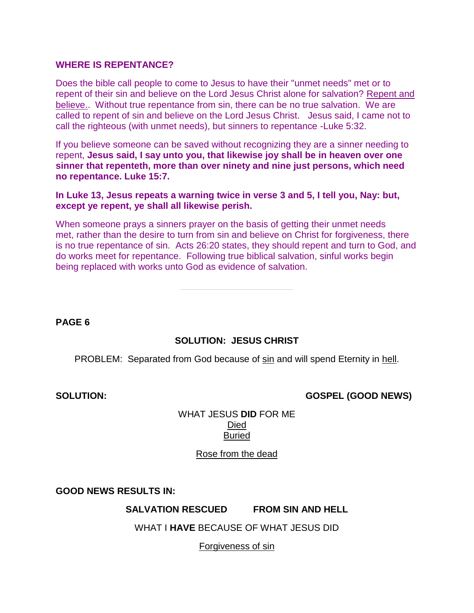#### **WHERE IS REPENTANCE?**

Does the bible call people to come to Jesus to have their "unmet needs" met or to repent of their sin and believe on the Lord Jesus Christ alone for salvation? Repent and believe.. Without true repentance from sin, there can be no true salvation. We are called to repent of sin and believe on the Lord Jesus Christ. Jesus said, I came not to call the righteous (with unmet needs), but sinners to repentance -Luke 5:32.

If you believe someone can be saved without recognizing they are a sinner needing to repent, **Jesus said, I say unto you, that likewise joy shall be in heaven over one sinner that repenteth, more than over ninety and nine just persons, which need no repentance. Luke 15:7.**

**In Luke 13, Jesus repeats a warning twice in verse 3 and 5, I tell you, Nay: but, except ye repent, ye shall all likewise perish.**

When someone prays a sinners prayer on the basis of getting their unmet needs met, rather than the desire to turn from sin and believe on Christ for forgiveness, there is no true repentance of sin. Acts 26:20 states, they should repent and turn to God, and do works meet for repentance. Following true biblical salvation, sinful works begin being replaced with works unto God as evidence of salvation.

**PAGE 6**

#### **SOLUTION: JESUS CHRIST**

PROBLEM: Separated from God because of sin and will spend Eternity in hell.

**SOLUTION: GOSPEL (GOOD NEWS)**

WHAT JESUS **DID** FOR ME Died Buried

Rose from the dead

**GOOD NEWS RESULTS IN:** 

**SALVATION RESCUED FROM SIN AND HELL**

WHAT I **HAVE** BECAUSE OF WHAT JESUS DID

Forgiveness of sin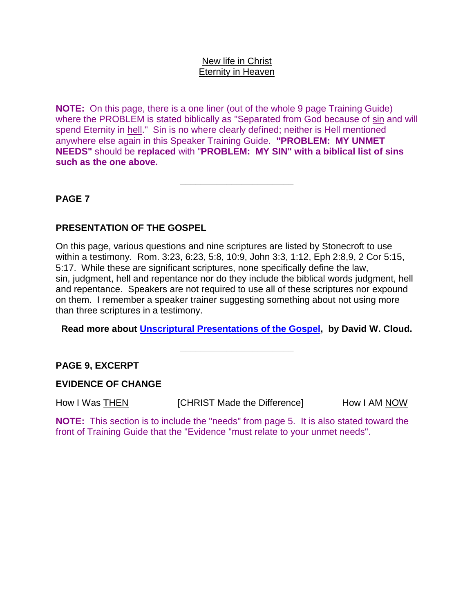#### New life in Christ Eternity in Heaven

**NOTE:** On this page, there is a one liner (out of the whole 9 page Training Guide) where the PROBLEM is stated biblically as "Separated from God because of sin and will spend Eternity in hell." Sin is no where clearly defined; neither is Hell mentioned anywhere else again in this Speaker Training Guide. **"PROBLEM: MY UNMET NEEDS"** should be **replaced** with "**PROBLEM: MY SIN" with a biblical list of sins such as the one above.**

# **PAGE 7**

# **PRESENTATION OF THE GOSPEL**

On this page, various questions and nine scriptures are listed by Stonecroft to use within a testimony. Rom. 3:23, 6:23, 5:8, 10:9, John 3:3, 1:12, Eph 2:8,9, 2 Cor 5:15, 5:17. While these are significant scriptures, none specifically define the law, sin, judgment, hell and repentance nor do they include the biblical words judgment, hell and repentance. Speakers are not required to use all of these scriptures nor expound on them. I remember a speaker trainer suggesting something about not using more than three scriptures in a testimony.

**Read more about [Unscriptural Presentations of the Gospel,](http://www.wayoflife.org/fbns/presentations.htm) by David W. Cloud.**

# **PAGE 9, EXCERPT**

#### **EVIDENCE OF CHANGE**

How I Was THEN **I**CHRIST Made the Difference] How I AM NOW

**NOTE:** This section is to include the "needs" from page 5. It is also stated toward the front of Training Guide that the "Evidence "must relate to your unmet needs".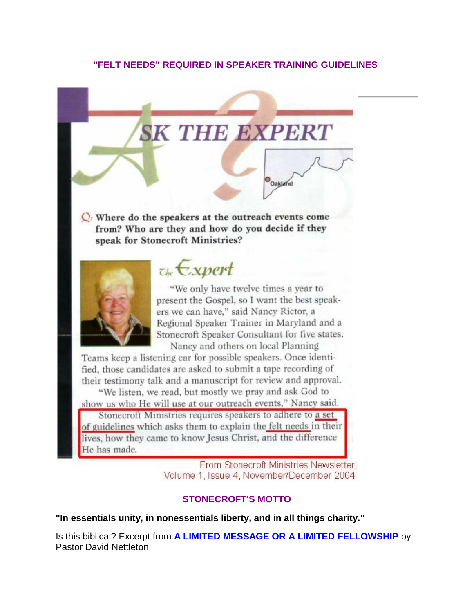# **"FELT NEEDS" REQUIRED IN SPEAKER TRAINING GUIDELINES**

# **SK THE EXPERT**

Oakland

 $Q$ : Where do the speakers at the outreach events come from? Who are they and how do you decide if they speak for Stonecroft Ministries?



# $\tau_{be}$ Expert

"We only have twelve times a year to present the Gospel, so I want the best speakers we can have," said Nancy Rictor, a Regional Speaker Trainer in Maryland and a Stonecroft Speaker Consultant for five states. Nancy and others on local Planning

Teams keep a listening ear for possible speakers. Once identified, those candidates are asked to submit a tape recording of their testimony talk and a manuscript for review and approval.

"We listen, we read, but mostly we pray and ask God to show us who He will use at our outreach events," Nancy said.

Stonecroft Ministries requires speakers to adhere to a set of guidelines which asks them to explain the felt needs in their lives, how they came to know Jesus Christ, and the difference He has made.

> From Stonecroft Ministries Newsletter, Volume 1, Issue 4, November/December 2004.

# **STONECROFT'S MOTTO**

**"In essentials unity, in nonessentials liberty, and in all things charity."**

Is this biblical? Excerpt from **[A LIMITED MESSAGE OR A LIMITED FELLOWSHIP](http://www.wayoflife.org/fbns/limited.htm)** by Pastor David Nettleton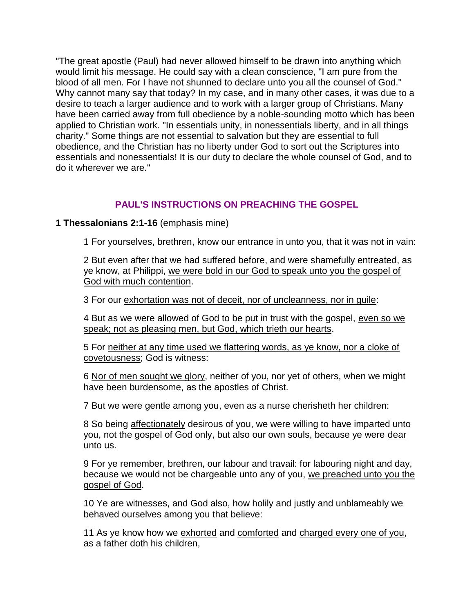"The great apostle (Paul) had never allowed himself to be drawn into anything which would limit his message. He could say with a clean conscience, "I am pure from the blood of all men. For I have not shunned to declare unto you all the counsel of God." Why cannot many say that today? In my case, and in many other cases, it was due to a desire to teach a larger audience and to work with a larger group of Christians. Many have been carried away from full obedience by a noble-sounding motto which has been applied to Christian work. "In essentials unity, in nonessentials liberty, and in all things charity." Some things are not essential to salvation but they are essential to full obedience, and the Christian has no liberty under God to sort out the Scriptures into essentials and nonessentials! It is our duty to declare the whole counsel of God, and to do it wherever we are."

# **PAUL'S INSTRUCTIONS ON PREACHING THE GOSPEL**

# **1 Thessalonians 2:1-16** (emphasis mine)

1 For yourselves, brethren, know our entrance in unto you, that it was not in vain:

2 But even after that we had suffered before, and were shamefully entreated, as ye know, at Philippi, we were bold in our God to speak unto you the gospel of God with much contention.

3 For our exhortation was not of deceit, nor of uncleanness, nor in quile:

4 But as we were allowed of God to be put in trust with the gospel, even so we speak; not as pleasing men, but God, which trieth our hearts.

5 For neither at any time used we flattering words, as ye know, nor a cloke of covetousness; God is witness:

6 Nor of men sought we glory, neither of you, nor yet of others, when we might have been burdensome, as the apostles of Christ.

7 But we were gentle among you, even as a nurse cherisheth her children:

8 So being affectionately desirous of you, we were willing to have imparted unto you, not the gospel of God only, but also our own souls, because ye were dear unto us.

9 For ye remember, brethren, our labour and travail: for labouring night and day, because we would not be chargeable unto any of you, we preached unto you the gospel of God.

10 Ye are witnesses, and God also, how holily and justly and unblameably we behaved ourselves among you that believe:

11 As ye know how we exhorted and comforted and charged every one of you, as a father doth his children,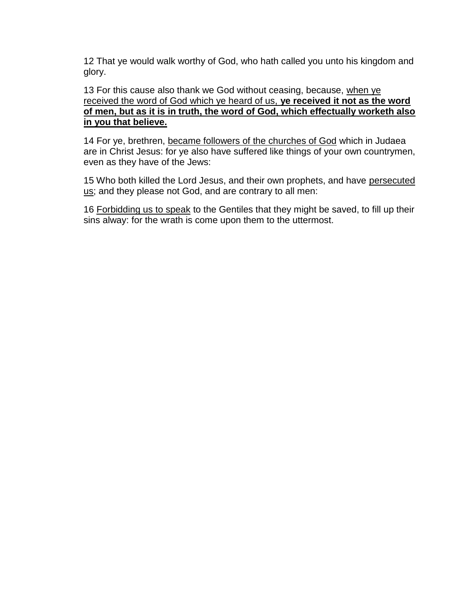12 That ye would walk worthy of God, who hath called you unto his kingdom and glory.

13 For this cause also thank we God without ceasing, because, when ye received the word of God which ye heard of us, **ye received it not as the word of men, but as it is in truth, the word of God, which effectually worketh also in you that believe.**

14 For ye, brethren, became followers of the churches of God which in Judaea are in Christ Jesus: for ye also have suffered like things of your own countrymen, even as they have of the Jews:

15 Who both killed the Lord Jesus, and their own prophets, and have persecuted us; and they please not God, and are contrary to all men:

16 Forbidding us to speak to the Gentiles that they might be saved, to fill up their sins alway: for the wrath is come upon them to the uttermost.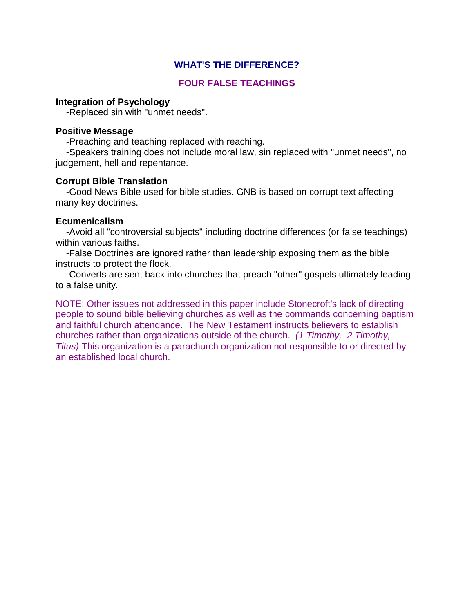# **WHAT'S THE DIFFERENCE?**

# **FOUR FALSE TEACHINGS**

#### **Integration of Psychology**

-Replaced sin with "unmet needs".

#### **Positive Message**

-Preaching and teaching replaced with reaching.

 -Speakers training does not include moral law, sin replaced with "unmet needs", no judgement, hell and repentance.

#### **Corrupt Bible Translation**

 -Good News Bible used for bible studies. GNB is based on corrupt text affecting many key doctrines.

#### **Ecumenicalism**

 -Avoid all "controversial subjects" including doctrine differences (or false teachings) within various faiths.

 -False Doctrines are ignored rather than leadership exposing them as the bible instructs to protect the flock.

 -Converts are sent back into churches that preach "other" gospels ultimately leading to a false unity.

NOTE: Other issues not addressed in this paper include Stonecroft's lack of directing people to sound bible believing churches as well as the commands concerning baptism and faithful church attendance. The New Testament instructs believers to establish churches rather than organizations outside of the church. *(1 Timothy, 2 Timothy, Titus)* This organization is a parachurch organization not responsible to or directed by an established local church.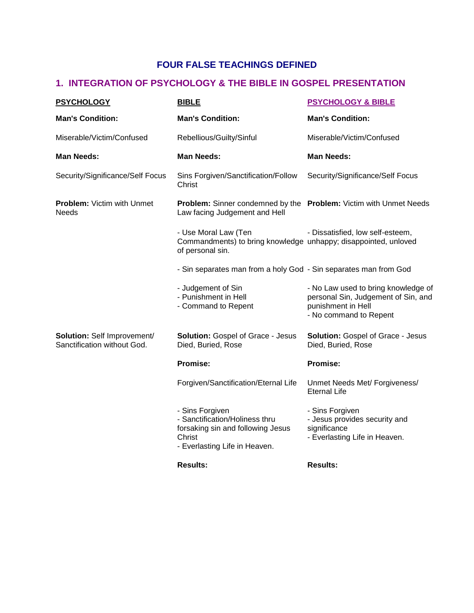# **FOUR FALSE TEACHINGS DEFINED**

# **1. INTEGRATION OF PSYCHOLOGY & THE BIBLE IN GOSPEL PRESENTATION**

| <b>PSYCHOLOGY</b>                                          | <b>BIBLE</b>                                                                                                                      | <b>PSYCHOLOGY &amp; BIBLE</b>                                                                                              |
|------------------------------------------------------------|-----------------------------------------------------------------------------------------------------------------------------------|----------------------------------------------------------------------------------------------------------------------------|
| <b>Man's Condition:</b>                                    | <b>Man's Condition:</b>                                                                                                           | <b>Man's Condition:</b>                                                                                                    |
| Miserable/Victim/Confused                                  | Rebellious/Guilty/Sinful                                                                                                          | Miserable/Victim/Confused                                                                                                  |
| <b>Man Needs:</b>                                          | <b>Man Needs:</b>                                                                                                                 | <b>Man Needs:</b>                                                                                                          |
| Security/Significance/Self Focus                           | Sins Forgiven/Sanctification/Follow<br>Christ                                                                                     | Security/Significance/Self Focus                                                                                           |
| <b>Problem: Victim with Unmet</b><br><b>Needs</b>          | <b>Problem:</b> Sinner condemned by the <b>Problem:</b> Victim with Unmet Needs<br>Law facing Judgement and Hell                  |                                                                                                                            |
|                                                            | - Use Moral Law (Ten<br>Commandments) to bring knowledge unhappy; disappointed, unloved<br>of personal sin.                       | - Dissatisfied, low self-esteem,                                                                                           |
|                                                            | - Sin separates man from a holy God - Sin separates man from God                                                                  |                                                                                                                            |
|                                                            | - Judgement of Sin<br>- Punishment in Hell<br>- Command to Repent                                                                 | - No Law used to bring knowledge of<br>personal Sin, Judgement of Sin, and<br>punishment in Hell<br>- No command to Repent |
| Solution: Self Improvement/<br>Sanctification without God. | <b>Solution: Gospel of Grace - Jesus</b><br>Died, Buried, Rose                                                                    | Solution: Gospel of Grace - Jesus<br>Died, Buried, Rose                                                                    |
|                                                            | <b>Promise:</b>                                                                                                                   | Promise:                                                                                                                   |
|                                                            | Forgiven/Sanctification/Eternal Life                                                                                              | Unmet Needs Met/ Forgiveness/<br><b>Eternal Life</b>                                                                       |
|                                                            | - Sins Forgiven<br>- Sanctification/Holiness thru<br>forsaking sin and following Jesus<br>Christ<br>- Everlasting Life in Heaven. | - Sins Forgiven<br>- Jesus provides security and<br>significance<br>- Everlasting Life in Heaven.                          |
|                                                            | <b>Results:</b>                                                                                                                   | <b>Results:</b>                                                                                                            |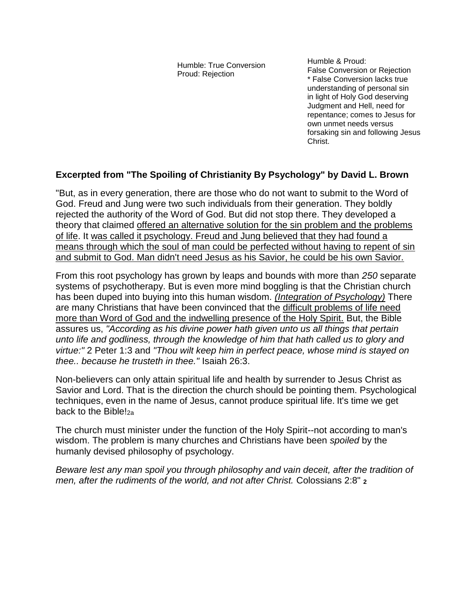Humble: True Conversion Proud: Rejection

Humble & Proud: False Conversion or Rejection \* False Conversion lacks true understanding of personal sin in light of Holy God deserving Judgment and Hell, need for repentance; comes to Jesus for own unmet needs versus forsaking sin and following Jesus Christ.

# **Excerpted from "The Spoiling of Christianity By Psychology" by David L. Brown**

"But, as in every generation, there are those who do not want to submit to the Word of God. Freud and Jung were two such individuals from their generation. They boldly rejected the authority of the Word of God. But did not stop there. They developed a theory that claimed offered an alternative solution for the sin problem and the problems of life. It was called it psychology. Freud and Jung believed that they had found a means through which the soul of man could be perfected without having to repent of sin and submit to God. Man didn't need Jesus as his Savior, he could be his own Savior.

From this root psychology has grown by leaps and bounds with more than *250* separate systems of psychotherapy. But is even more mind boggling is that the Christian church has been duped into buying into this human wisdom. *(Integration of Psychology)* There are many Christians that have been convinced that the difficult problems of life need more than Word of God and the indwelling presence of the Holy Spirit. But, the Bible assures us, *"According as his divine power hath given unto us all things that pertain unto life and godliness, through the knowledge of him that hath called us to glory and virtue:"* 2 Peter 1:3 and *"Thou wilt keep him in perfect peace, whose mind is stayed on thee.. because he trusteth in thee."* Isaiah 26:3.

Non-believers can only attain spiritual life and health by surrender to Jesus Christ as Savior and Lord. That is the direction the church should be pointing them. Psychological techniques, even in the name of Jesus, cannot produce spiritual life. It's time we get back to the Bible!<sub>2a</sub>

The church must minister under the function of the Holy Spirit--not according to man's wisdom. The problem is many churches and Christians have been *spoiled* by the humanly devised philosophy of psychology.

*Beware lest any man spoil you through philosophy and vain deceit, after the tradition of men, after the rudiments of the world, and not after Christ.* Colossians 2:8" **<sup>2</sup>**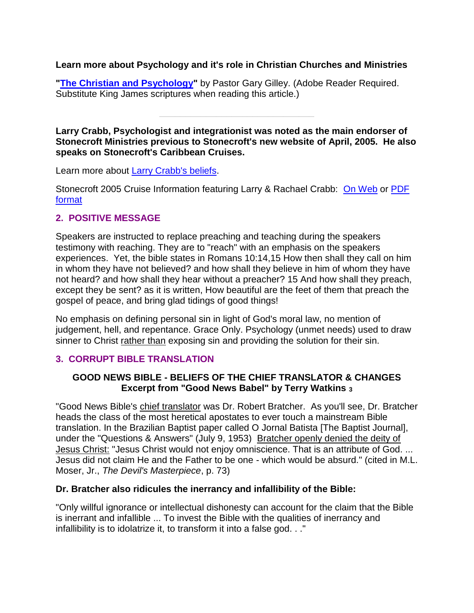# **Learn more about Psychology and it's role in Christian Churches and Ministries**

["The Christian and Psychology"](http://www.svchapel.org/Assets/Docs/TheologyLessons/Christian_and_Psychology.pdf) by Pastor Gary Gilley. (Adobe Reader Required. Substitute King James scriptures when reading this article.)

**Larry Crabb, Psychologist and integrationist was noted as the main endorser of Stonecroft Ministries previous to Stonecroft's new website of April, 2005. He also speaks on Stonecroft's Caribbean Cruises.**

**\_\_\_\_\_\_\_\_\_\_\_\_\_\_\_\_\_\_\_\_\_\_\_\_\_\_\_\_\_\_**

Learn more about [Larry Crabb's beliefs.](http://earnestlycontend.com/10.html)

Stonecroft 2005 Cruise Information featuring Larry & Rachael Crabb: [On Web](http://www.inspirationcruises.com/html/stonecroft.html) or [PDF](http://www.inspirationcruises.com/StonecroftCarib05.pdf)  [format](http://www.inspirationcruises.com/StonecroftCarib05.pdf)

# **2. POSITIVE MESSAGE**

Speakers are instructed to replace preaching and teaching during the speakers testimony with reaching. They are to "reach" with an emphasis on the speakers experiences. Yet, the bible states in Romans 10:14,15 How then shall they call on him in whom they have not believed? and how shall they believe in him of whom they have not heard? and how shall they hear without a preacher? 15 And how shall they preach, except they be sent? as it is written, How beautiful are the feet of them that preach the gospel of peace, and bring glad tidings of good things!

No emphasis on defining personal sin in light of God's moral law, no mention of judgement, hell, and repentance. Grace Only. Psychology (unmet needs) used to draw sinner to Christ rather than exposing sin and providing the solution for their sin.

# **3. CORRUPT BIBLE TRANSLATION**

# **GOOD NEWS BIBLE - BELIEFS OF THE CHIEF TRANSLATOR & CHANGES Excerpt from "Good News Babel" by Terry Watkins <sup>3</sup>**

"Good News Bible's chief translator was Dr. Robert Bratcher. As you'll see, Dr. Bratcher heads the class of the most heretical apostates to ever touch a mainstream Bible translation. In the Brazilian Baptist paper called O Jornal Batista [The Baptist Journal], under the "Questions & Answers" (July 9, 1953) Bratcher openly denied the deity of Jesus Christ: "Jesus Christ would not enjoy omniscience. That is an attribute of God. ... Jesus did not claim He and the Father to be one - which would be absurd." (cited in M.L. Moser, Jr., *The Devil's Masterpiece*, p. 73)

# **Dr. Bratcher also ridicules the inerrancy and infallibility of the Bible:**

"Only willful ignorance or intellectual dishonesty can account for the claim that the Bible is inerrant and infallible ... To invest the Bible with the qualities of inerrancy and infallibility is to idolatrize it, to transform it into a false god. . ."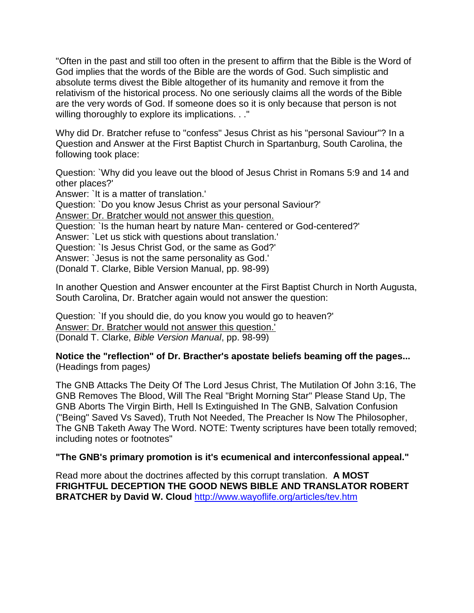"Often in the past and still too often in the present to affirm that the Bible is the Word of God implies that the words of the Bible are the words of God. Such simplistic and absolute terms divest the Bible altogether of its humanity and remove it from the relativism of the historical process. No one seriously claims all the words of the Bible are the very words of God. If someone does so it is only because that person is not willing thoroughly to explore its implications. . ."

Why did Dr. Bratcher refuse to "confess" Jesus Christ as his "personal Saviour"? In a Question and Answer at the First Baptist Church in Spartanburg, South Carolina, the following took place:

Question: `Why did you leave out the blood of Jesus Christ in Romans 5:9 and 14 and other places?'

Answer: `It is a matter of translation.'

Question: `Do you know Jesus Christ as your personal Saviour?'

Answer: Dr. Bratcher would not answer this question.

Question: `Is the human heart by nature Man- centered or God-centered?'

Answer: `Let us stick with questions about translation.'

Question: `Is Jesus Christ God, or the same as God?'

Answer: `Jesus is not the same personality as God.'

(Donald T. Clarke, Bible Version Manual, pp. 98-99)

In another Question and Answer encounter at the First Baptist Church in North Augusta, South Carolina, Dr. Bratcher again would not answer the question:

Question: `If you should die, do you know you would go to heaven?' Answer: Dr. Bratcher would not answer this question.' (Donald T. Clarke, *Bible Version Manual*, pp. 98-99)

**Notice the "reflection" of Dr. Bracther's apostate beliefs beaming off the pages...**  (Headings from pages*)*

The GNB Attacks The Deity Of The Lord Jesus Christ, The Mutilation Of John 3:16, The GNB Removes The Blood, Will The Real "Bright Morning Star" Please Stand Up, The GNB Aborts The Virgin Birth, Hell Is Extinguished In The GNB, Salvation Confusion ("Being" Saved Vs Saved), Truth Not Needed, The Preacher Is Now The Philosopher, The GNB Taketh Away The Word. NOTE: Twenty scriptures have been totally removed; including notes or footnotes"

# **"The GNB's primary promotion is it's ecumenical and interconfessional appeal."**

Read more about the doctrines affected by this corrupt translation. **A MOST FRIGHTFUL DECEPTION THE GOOD NEWS BIBLE AND TRANSLATOR ROBERT BRATCHER by David W. Cloud** <http://www.wayoflife.org/articles/tev.htm>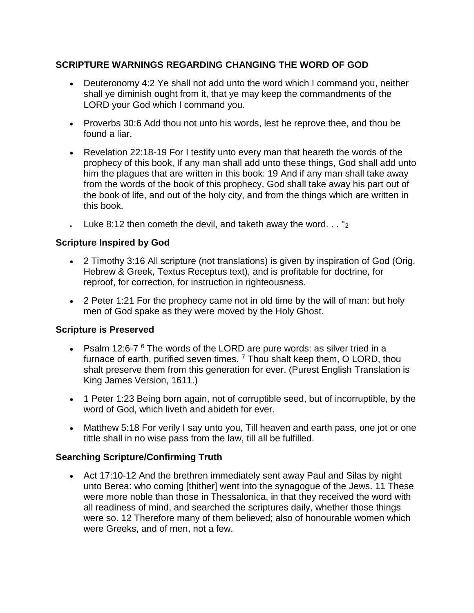# **SCRIPTURE WARNINGS REGARDING CHANGING THE WORD OF GOD**

- Deuteronomy 4:2 Ye shall not add unto the word which I command you, neither shall ye diminish ought from it, that ye may keep the commandments of the LORD your God which I command you.
- Proverbs 30:6 Add thou not unto his words, lest he reprove thee, and thou be found a liar.
- Revelation 22:18-19 For I testify unto every man that heareth the words of the prophecy of this book, If any man shall add unto these things, God shall add unto him the plagues that are written in this book: 19 And if any man shall take away from the words of the book of this prophecy, God shall take away his part out of the book of life, and out of the holy city, and from the things which are written in this book.
- Luke 8:12 then cometh the devil, and taketh away the word.  $\ldots$  "2

# **Scripture Inspired by God**

- 2 Timothy 3:16 All scripture (not translations) is given by inspiration of God (Orig. Hebrew & Greek, Textus Receptus text), and is profitable for doctrine, for reproof, for correction, for instruction in righteousness.
- 2 Peter 1:21 For the prophecy came not in old time by the will of man: but holy men of God spake as they were moved by the Holy Ghost.

# **Scripture is Preserved**

- Psalm 12:6-7 $6$  The words of the LORD are pure words: as silver tried in a furnace of earth, purified seven times.  $^7$  Thou shalt keep them, O LORD, thou shalt preserve them from this generation for ever. (Purest English Translation is King James Version, 1611.)
- 1 Peter 1:23 Being born again, not of corruptible seed, but of incorruptible, by the word of God, which liveth and abideth for ever.
- Matthew 5:18 For verily I say unto you, Till heaven and earth pass, one jot or one tittle shall in no wise pass from the law, till all be fulfilled.

# **Searching Scripture/Confirming Truth**

 Act 17:10-12 And the brethren immediately sent away Paul and Silas by night unto Berea: who coming [thither] went into the synagogue of the Jews. 11 These were more noble than those in Thessalonica, in that they received the word with all readiness of mind, and searched the scriptures daily, whether those things were so. 12 Therefore many of them believed; also of honourable women which were Greeks, and of men, not a few.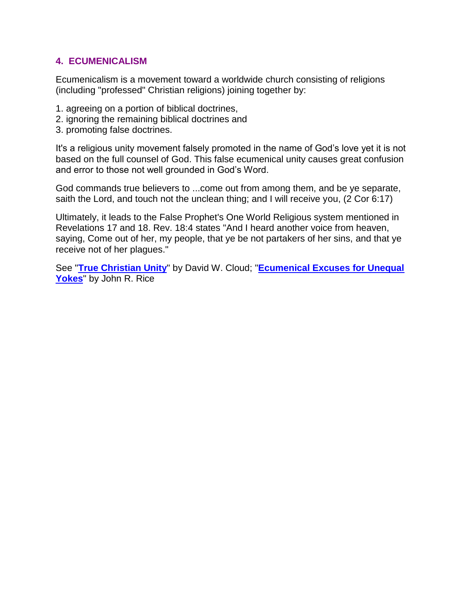# **4. ECUMENICALISM**

Ecumenicalism is a movement toward a worldwide church consisting of religions (including "professed" Christian religions) joining together by:

- 1. agreeing on a portion of biblical doctrines,
- 2. ignoring the remaining biblical doctrines and
- 3. promoting false doctrines.

It's a religious unity movement falsely promoted in the name of God's love yet it is not based on the full counsel of God. This false ecumenical unity causes great confusion and error to those not well grounded in God's Word.

God commands true believers to ...come out from among them, and be ye separate, saith the Lord, and touch not the unclean thing; and I will receive you, (2 Cor 6:17)

Ultimately, it leads to the False Prophet's One World Religious system mentioned in Revelations 17 and 18. Rev. 18:4 states "And I heard another voice from heaven, saying, Come out of her, my people, that ye be not partakers of her sins, and that ye receive not of her plagues."

See "**[True Christian Unity](http://www.wayoflife.org/otimothy/tl010011.htm)**" by David W. Cloud; "**[Ecumenical Excuses for Unequal](http://www.wayoflife.org/fbns/ecumenical%20excuses.html)  [Yokes](http://www.wayoflife.org/fbns/ecumenical%20excuses.html)**" by John R. Rice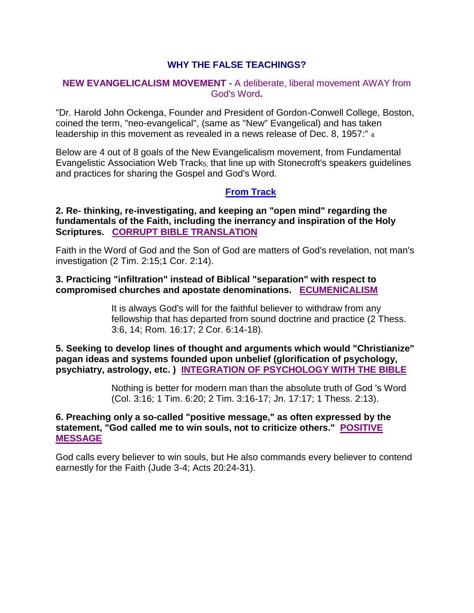# **WHY THE FALSE TEACHINGS?**

#### **NEW EVANGELICALISM MOVEMENT -** A deliberate, liberal movement AWAY from God's Word**.**

"Dr. Harold John Ockenga, Founder and President of Gordon-Conwell College, Boston, coined the term, "neo-evangelical", (same as "New" Evangelical) and has taken leadership in this movement as revealed in a news release of Dec. 8, 1957:" <sup>4</sup>

Below are 4 out of 8 goals of the New Evangelicalism movement, from Fundamental Evangelistic Association Web Track<sub>5</sub>, that line up with Stonecroft's speakers guidelines and practices for sharing the Gospel and God's Word.

#### **[From Track](http://www.fundamentalbiblechurch.org/Tracts/fbcnevan.htm)**

#### **2. Re- thinking, re-investigating, and keeping an "open mind" regarding the fundamentals of the Faith, including the inerrancy and inspiration of the Holy Scriptures. CORRUPT BIBLE TRANSLATION**

Faith in the Word of God and the Son of God are matters of God's revelation, not man's investigation (2 Tim. 2:15;1 Cor. 2:14).

#### **3. Practicing "infiltration" instead of Biblical "separation" with respect to compromised churches and apostate denominations. ECUMENICALISM**

It is always God's will for the faithful believer to withdraw from any fellowship that has departed from sound doctrine and practice (2 Thess. 3:6, 14; Rom. 16:17; 2 Cor. 6:14-18).

**5. Seeking to develop lines of thought and arguments which would "Christianize" pagan ideas and systems founded upon unbelief (glorification of psychology, psychiatry, astrology, etc. ) INTEGRATION OF PSYCHOLOGY WITH THE BIBLE**

> Nothing is better for modern man than the absolute truth of God 's Word (Col. 3:16; 1 Tim. 6:20; 2 Tim. 3:16-17; Jn. 17:17; 1 Thess. 2:13).

#### **6. Preaching only a so-called "positive message," as often expressed by the statement, "God called me to win souls, not to criticize others." POSITIVE MESSAGE**

God calls every believer to win souls, but He also commands every believer to contend earnestly for the Faith (Jude 3-4; Acts 20:24-31).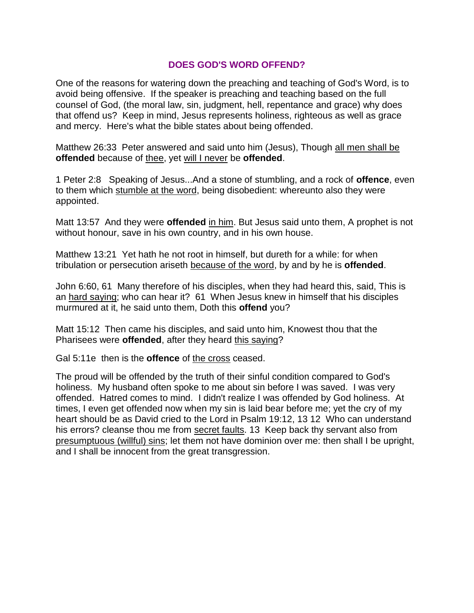#### **DOES GOD'S WORD OFFEND?**

One of the reasons for watering down the preaching and teaching of God's Word, is to avoid being offensive. If the speaker is preaching and teaching based on the full counsel of God, (the moral law, sin, judgment, hell, repentance and grace) why does that offend us? Keep in mind, Jesus represents holiness, righteous as well as grace and mercy. Here's what the bible states about being offended.

Matthew 26:33 Peter answered and said unto him (Jesus), Though all men shall be **offended** because of thee, yet will I never be **offended**.

1 Peter 2:8 Speaking of Jesus...And a stone of stumbling, and a rock of **offence**, even to them which stumble at the word, being disobedient: whereunto also they were appointed.

Matt 13:57 And they were **offended** in him. But Jesus said unto them, A prophet is not without honour, save in his own country, and in his own house.

Matthew 13:21 Yet hath he not root in himself, but dureth for a while: for when tribulation or persecution ariseth because of the word, by and by he is **offended**.

John 6:60, 61 Many therefore of his disciples, when they had heard this, said, This is an hard saying; who can hear it? 61 When Jesus knew in himself that his disciples murmured at it, he said unto them, Doth this **offend** you?

Matt 15:12 Then came his disciples, and said unto him, Knowest thou that the Pharisees were **offended**, after they heard this saying?

Gal 5:11e then is the **offence** of the cross ceased.

The proud will be offended by the truth of their sinful condition compared to God's holiness. My husband often spoke to me about sin before I was saved. I was very offended. Hatred comes to mind. I didn't realize I was offended by God holiness. At times, I even get offended now when my sin is laid bear before me; yet the cry of my heart should be as David cried to the Lord in Psalm 19:12, 13 12 Who can understand his errors? cleanse thou me from secret faults. 13 Keep back thy servant also from presumptuous (willful) sins; let them not have dominion over me: then shall I be upright, and I shall be innocent from the great transgression.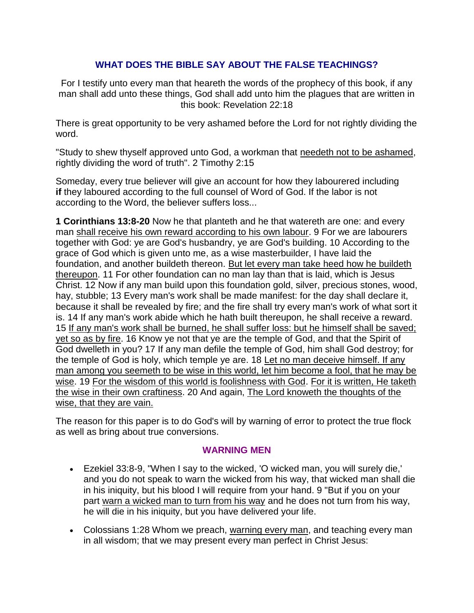# **WHAT DOES THE BIBLE SAY ABOUT THE FALSE TEACHINGS?**

For I testify unto every man that heareth the words of the prophecy of this book, if any man shall add unto these things, God shall add unto him the plagues that are written in this book: Revelation 22:18

There is great opportunity to be very ashamed before the Lord for not rightly dividing the word.

"Study to shew thyself approved unto God, a workman that needeth not to be ashamed, rightly dividing the word of truth". 2 Timothy 2:15

Someday, every true believer will give an account for how they labourered including **if** they laboured according to the full counsel of Word of God. If the labor is not according to the Word, the believer suffers loss...

**1 Corinthians 13:8-20** Now he that planteth and he that watereth are one: and every man shall receive his own reward according to his own labour. 9 For we are labourers together with God: ye are God's husbandry, ye are God's building. 10 According to the grace of God which is given unto me, as a wise masterbuilder, I have laid the foundation, and another buildeth thereon. But let every man take heed how he buildeth thereupon. 11 For other foundation can no man lay than that is laid, which is Jesus Christ. 12 Now if any man build upon this foundation gold, silver, precious stones, wood, hay, stubble; 13 Every man's work shall be made manifest: for the day shall declare it, because it shall be revealed by fire; and the fire shall try every man's work of what sort it is. 14 If any man's work abide which he hath built thereupon, he shall receive a reward. 15 If any man's work shall be burned, he shall suffer loss: but he himself shall be saved; yet so as by fire. 16 Know ye not that ye are the temple of God, and that the Spirit of God dwelleth in you? 17 If any man defile the temple of God, him shall God destroy; for the temple of God is holy, which temple ye are. 18 Let no man deceive himself. If any man among you seemeth to be wise in this world, let him become a fool, that he may be wise. 19 For the wisdom of this world is foolishness with God. For it is written, He taketh the wise in their own craftiness. 20 And again, The Lord knoweth the thoughts of the wise, that they are vain.

The reason for this paper is to do God's will by warning of error to protect the true flock as well as bring about true conversions.

# **WARNING MEN**

- Ezekiel 33:8-9, "When I say to the wicked, 'O wicked man, you will surely die,' and you do not speak to warn the wicked from his way, that wicked man shall die in his iniquity, but his blood I will require from your hand. 9 "But if you on your part warn a wicked man to turn from his way and he does not turn from his way, he will die in his iniquity, but you have delivered your life.
- Colossians 1:28 Whom we preach, warning every man, and teaching every man in all wisdom; that we may present every man perfect in Christ Jesus: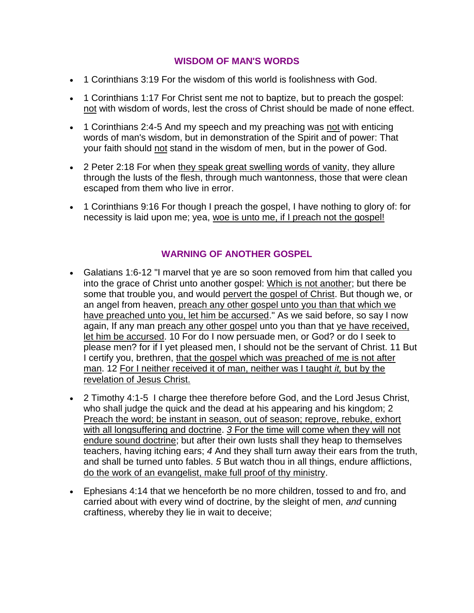# **WISDOM OF MAN'S WORDS**

- 1 Corinthians 3:19 For the wisdom of this world is foolishness with God.
- 1 Corinthians 1:17 For Christ sent me not to baptize, but to preach the gospel: not with wisdom of words, lest the cross of Christ should be made of none effect.
- 1 Corinthians 2:4-5 And my speech and my preaching was not with enticing words of man's wisdom, but in demonstration of the Spirit and of power: That your faith should not stand in the wisdom of men, but in the power of God.
- 2 Peter 2:18 For when they speak great swelling words of vanity, they allure through the lusts of the flesh, through much wantonness, those that were clean escaped from them who live in error.
- 1 Corinthians 9:16 For though I preach the gospel, I have nothing to glory of: for necessity is laid upon me; yea, woe is unto me, if I preach not the gospel!

# **WARNING OF ANOTHER GOSPEL**

- Galatians 1:6-12 "I marvel that ye are so soon removed from him that called you into the grace of Christ unto another gospel: Which is not another; but there be some that trouble you, and would pervert the gospel of Christ. But though we, or an angel from heaven, preach any other gospel unto you than that which we have preached unto you, let him be accursed." As we said before, so say I now again, If any man preach any other gospel unto you than that ye have received, let him be accursed. 10 For do I now persuade men, or God? or do I seek to please men? for if I yet pleased men, I should not be the servant of Christ. 11 But I certify you, brethren, that the gospel which was preached of me is not after man. 12 For I neither received it of man, neither was I taught *it,* but by the revelation of Jesus Christ.
- 2 Timothy 4:1-5 I charge thee therefore before God, and the Lord Jesus Christ, who shall judge the quick and the dead at his appearing and his kingdom; 2 Preach the word; be instant in season, out of season; reprove, rebuke, exhort with all longsuffering and doctrine. *3* For the time will come when they will not endure sound doctrine; but after their own lusts shall they heap to themselves teachers, having itching ears; *4* And they shall turn away their ears from the truth, and shall be turned unto fables. *5* But watch thou in all things, endure afflictions, do the work of an evangelist, make full proof of thy ministry.
- Ephesians 4:14 that we henceforth be no more children, tossed to and fro, and carried about with every wind of doctrine, by the sleight of men, *and* cunning craftiness, whereby they lie in wait to deceive;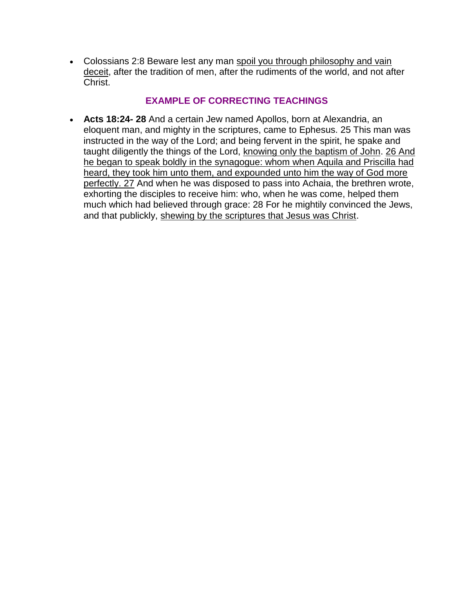Colossians 2:8 Beware lest any man spoil you through philosophy and vain deceit, after the tradition of men, after the rudiments of the world, and not after Christ.

# **EXAMPLE OF CORRECTING TEACHINGS**

 **Acts 18:24- 28** And a certain Jew named Apollos, born at Alexandria, an eloquent man, and mighty in the scriptures, came to Ephesus. 25 This man was instructed in the way of the Lord; and being fervent in the spirit, he spake and taught diligently the things of the Lord, knowing only the baptism of John. 26 And he began to speak boldly in the synagogue: whom when Aquila and Priscilla had heard, they took him unto them, and expounded unto him the way of God more perfectly. 27 And when he was disposed to pass into Achaia, the brethren wrote, exhorting the disciples to receive him: who, when he was come, helped them much which had believed through grace: 28 For he mightily convinced the Jews, and that publickly, shewing by the scriptures that Jesus was Christ.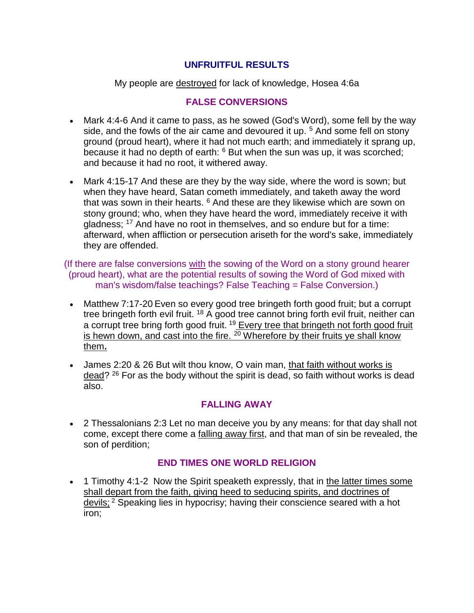# **UNFRUITFUL RESULTS**

My people are destroyed for lack of knowledge, Hosea 4:6a

# **FALSE CONVERSIONS**

- Mark 4:4-6 And it came to pass, as he sowed (God's Word), some fell by the way side, and the fowls of the air came and devoured it up. <sup>5</sup> And some fell on stony ground (proud heart), where it had not much earth; and immediately it sprang up, because it had no depth of earth:  $6$  But when the sun was up, it was scorched; and because it had no root, it withered away.
- Mark 4:15-17 And these are they by the way side, where the word is sown; but when they have heard, Satan cometh immediately, and taketh away the word that was sown in their hearts.  $6$  And these are they likewise which are sown on stony ground; who, when they have heard the word, immediately receive it with gladness; <sup>17</sup> And have no root in themselves, and so endure but for a time: afterward, when affliction or persecution ariseth for the word's sake, immediately they are offended.

(If there are false conversions with the sowing of the Word on a stony ground hearer (proud heart), what are the potential results of sowing the Word of God mixed with man's wisdom/false teachings? False Teaching = False Conversion.)

- Matthew 7:17-20 Even so every good tree bringeth forth good fruit; but a corrupt tree bringeth forth evil fruit. <sup>18</sup> A good tree cannot bring forth evil fruit, neither can a corrupt tree bring forth good fruit. <sup>19</sup> Every tree that bringeth not forth good fruit is hewn down, and cast into the fire. <sup>20</sup> Wherefore by their fruits ye shall know them**.**
- James 2:20 & 26 But wilt thou know, O vain man, that faith without works is dead? <sup>26</sup> For as the body without the spirit is dead, so faith without works is dead also.

# **FALLING AWAY**

 2 Thessalonians 2:3 Let no man deceive you by any means: for that day shall not come, except there come a falling away first, and that man of sin be revealed, the son of perdition;

# **END TIMES ONE WORLD RELIGION**

• 1 Timothy 4:1-2 Now the Spirit speaketh expressly, that in the latter times some shall depart from the faith, giving heed to seducing spirits, and doctrines of devils; <sup>2</sup> Speaking lies in hypocrisy; having their conscience seared with a hot iron;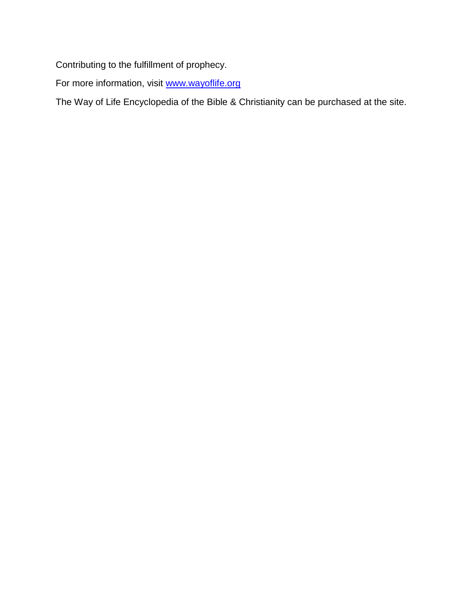Contributing to the fulfillment of prophecy.

For more information, visit [www.wayoflife.org](http://www.wayoflife.org/)

The Way of Life Encyclopedia of the Bible & Christianity can be purchased at the site.